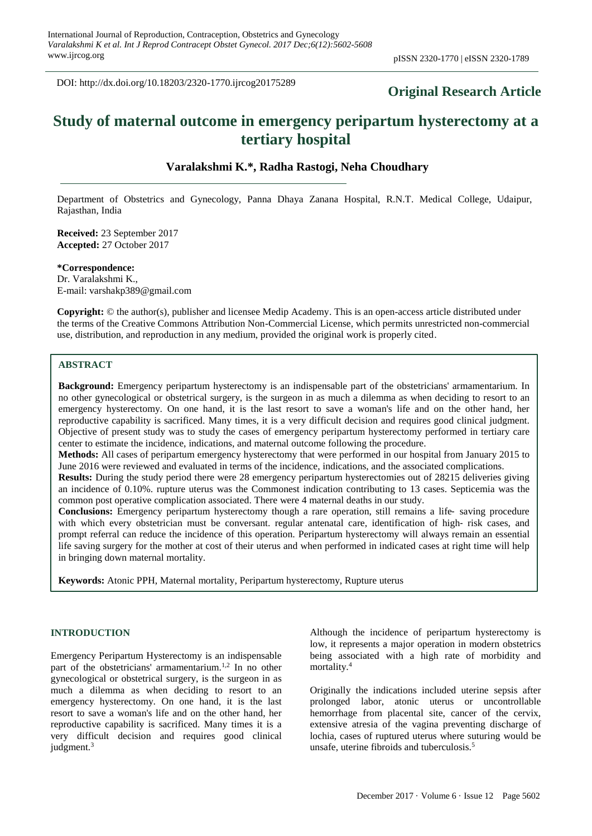DOI: http://dx.doi.org/10.18203/2320-1770.ijrcog20175289

# **Original Research Article**

# **Study of maternal outcome in emergency peripartum hysterectomy at a tertiary hospital**

# **Varalakshmi K.\*, Radha Rastogi, Neha Choudhary**

Department of Obstetrics and Gynecology, Panna Dhaya Zanana Hospital, R.N.T. Medical College, Udaipur, Rajasthan, India

**Received:** 23 September 2017 **Accepted:** 27 October 2017

**\*Correspondence:** Dr. Varalakshmi K., E-mail: varshakp389@gmail.com

**Copyright:** © the author(s), publisher and licensee Medip Academy. This is an open-access article distributed under the terms of the Creative Commons Attribution Non-Commercial License, which permits unrestricted non-commercial use, distribution, and reproduction in any medium, provided the original work is properly cited.

# **ABSTRACT**

**Background:** Emergency peripartum hysterectomy is an indispensable part of the obstetricians' armamentarium. In no other gynecological or obstetrical surgery, is the surgeon in as much a dilemma as when deciding to resort to an emergency hysterectomy. On one hand, it is the last resort to save a woman's life and on the other hand, her reproductive capability is sacrificed. Many times, it is a very difficult decision and requires good clinical judgment. Objective of present study was to study the cases of emergency peripartum hysterectomy performed in tertiary care center to estimate the incidence, indications, and maternal outcome following the procedure.

**Methods:** All cases of peripartum emergency hysterectomy that were performed in our hospital from January 2015 to June 2016 were reviewed and evaluated in terms of the incidence, indications, and the associated complications.

**Results:** During the study period there were 28 emergency peripartum hysterectomies out of 28215 deliveries giving an incidence of 0.10%. rupture uterus was the Commonest indication contributing to 13 cases. Septicemia was the common post operative complication associated. There were 4 maternal deaths in our study.

**Conclusions:** Emergency peripartum hysterectomy though a rare operation, still remains a life-saving procedure with which every obstetrician must be conversant. regular antenatal care, identification of high-risk cases, and prompt referral can reduce the incidence of this operation. Peripartum hysterectomy will always remain an essential life saving surgery for the mother at cost of their uterus and when performed in indicated cases at right time will help in bringing down maternal mortality.

**Keywords:** Atonic PPH, Maternal mortality, Peripartum hysterectomy, Rupture uterus

#### **INTRODUCTION**

Emergency Peripartum Hysterectomy is an indispensable part of the obstetricians' armamentarium.<sup>1,2</sup> In no other gynecological or obstetrical surgery, is the surgeon in as much a dilemma as when deciding to resort to an emergency hysterectomy. On one hand, it is the last resort to save a woman's life and on the other hand, her reproductive capability is sacrificed. Many times it is a very difficult decision and requires good clinical judgment.<sup>3</sup>

Although the incidence of peripartum hysterectomy is low, it represents a major operation in modern obstetrics being associated with a high rate of morbidity and mortality.<sup>4</sup>

Originally the indications included uterine sepsis after prolonged labor, atonic uterus or uncontrollable hemorrhage from placental site, cancer of the cervix, extensive atresia of the vagina preventing discharge of lochia, cases of ruptured uterus where suturing would be unsafe, uterine fibroids and tuberculosis.<sup>5</sup>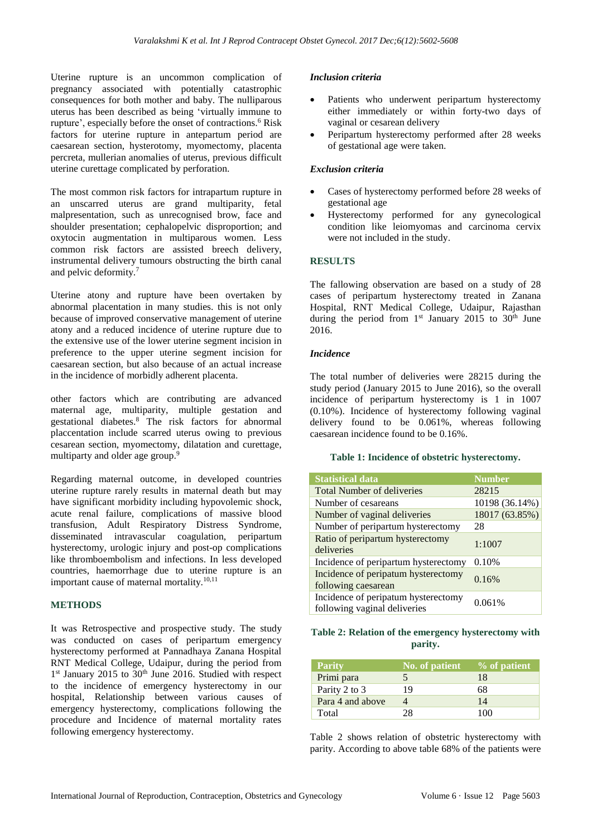Uterine rupture is an uncommon complication of pregnancy associated with potentially catastrophic consequences for both mother and baby. The nulliparous uterus has been described as being 'virtually immune to rupture', especially before the onset of contractions.<sup>6</sup> Risk factors for uterine rupture in antepartum period are caesarean section, hysterotomy, myomectomy, placenta percreta, mullerian anomalies of uterus, previous difficult uterine curettage complicated by perforation.

The most common risk factors for intrapartum rupture in an unscarred uterus are grand multiparity, fetal malpresentation, such as unrecognised brow, face and shoulder presentation; cephalopelvic disproportion; and oxytocin augmentation in multiparous women. Less common risk factors are assisted breech delivery, instrumental delivery tumours obstructing the birth canal and pelvic deformity.<sup>7</sup>

Uterine atony and rupture have been overtaken by abnormal placentation in many studies. this is not only because of improved conservative management of uterine atony and a reduced incidence of uterine rupture due to the extensive use of the lower uterine segment incision in preference to the upper uterine segment incision for caesarean section, but also because of an actual increase in the incidence of morbidly adherent placenta.

other factors which are contributing are advanced maternal age, multiparity, multiple gestation and gestational diabetes.<sup>8</sup> The risk factors for abnormal placcentation include scarred uterus owing to previous cesarean section, myomectomy, dilatation and curettage, multiparty and older age group.<sup>9</sup>

Regarding maternal outcome, in developed countries uterine rupture rarely results in maternal death but may have significant morbidity including hypovolemic shock, acute renal failure, complications of massive blood transfusion, Adult Respiratory Distress Syndrome, disseminated intravascular coagulation, peripartum hysterectomy, urologic injury and post-op complications like thromboembolism and infections. In less developed countries, haemorrhage due to uterine rupture is an important cause of maternal mortality. $10,11$ 

# **METHODS**

It was Retrospective and prospective study. The study was conducted on cases of peripartum emergency hysterectomy performed at Pannadhaya Zanana Hospital RNT Medical College, Udaipur, during the period from 1<sup>st</sup> January 2015 to 30<sup>th</sup> June 2016. Studied with respect to the incidence of emergency hysterectomy in our hospital, Relationship between various causes of emergency hysterectomy, complications following the procedure and Incidence of maternal mortality rates following emergency hysterectomy.

### *Inclusion criteria*

- Patients who underwent peripartum hysterectomy either immediately or within forty-two days of vaginal or cesarean delivery
- Peripartum hysterectomy performed after 28 weeks of gestational age were taken.

# *Exclusion criteria*

- Cases of hysterectomy performed before 28 weeks of gestational age
- Hysterectomy performed for any gynecological condition like leiomyomas and carcinoma cervix were not included in the study.

# **RESULTS**

The fallowing observation are based on a study of 28 cases of peripartum hysterectomy treated in Zanana Hospital, RNT Medical College, Udaipur, Rajasthan during the period from  $1<sup>st</sup>$  January 2015 to 30<sup>th</sup> June 2016.

#### *Incidence*

The total number of deliveries were 28215 during the study period (January 2015 to June 2016), so the overall incidence of peripartum hysterectomy is 1 in 1007 (0.10%). Incidence of hysterectomy following vaginal delivery found to be 0.061%, whereas following caesarean incidence found to be 0.16%.

#### **Table 1: Incidence of obstetric hysterectomy.**

| <b>Statistical data</b>                                             | <b>Number</b>  |
|---------------------------------------------------------------------|----------------|
| <b>Total Number of deliveries</b>                                   | 28215          |
| Number of cesareans                                                 | 10198 (36.14%) |
| Number of vaginal deliveries                                        | 18017 (63.85%) |
| Number of peripartum hysterectomy                                   | 28             |
| Ratio of peripartum hysterectomy<br>deliveries                      | 1:1007         |
| Incidence of peripartum hysterectomy                                | 0.10%          |
| Incidence of peripatum hysterectomy<br>following caesarean          | 0.16%          |
| Incidence of peripatum hysterectomy<br>following vaginal deliveries | 0.061%         |

|  | Table 2: Relation of the emergency hysterectomy with |  |
|--|------------------------------------------------------|--|
|  | parity.                                              |  |

| <b>Parity</b>    | No. of patient | % of patient |
|------------------|----------------|--------------|
| Primi para       |                | 18           |
| Parity 2 to 3    | 19             | 68           |
| Para 4 and above |                | 14           |
| Total            |                | 100          |

Table 2 shows relation of obstetric hysterectomy with parity. According to above table 68% of the patients were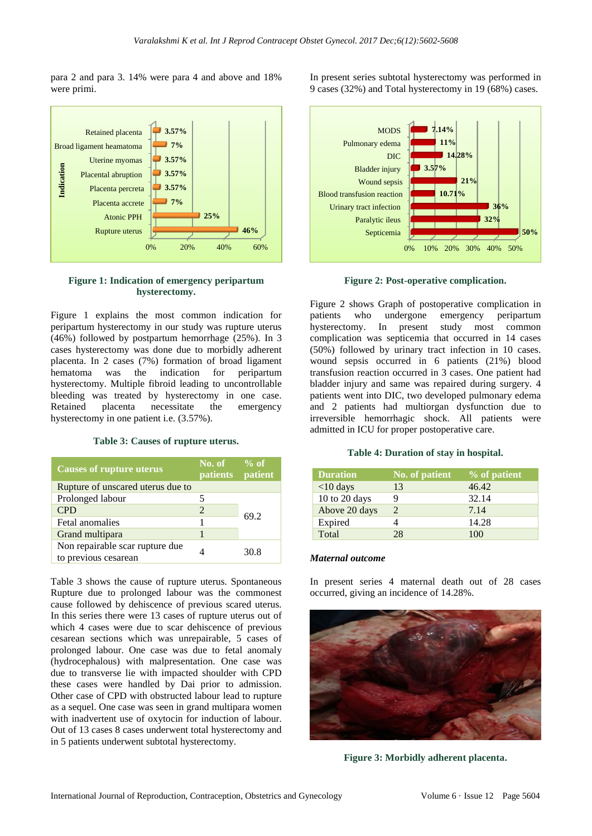para 2 and para 3. 14% were para 4 and above and 18% were primi.



# **Figure 1: Indication of emergency peripartum hysterectomy.**

Figure 1 explains the most common indication for peripartum hysterectomy in our study was rupture uterus (46%) followed by postpartum hemorrhage (25%). In 3 cases hysterectomy was done due to morbidly adherent placenta. In 2 cases (7%) formation of broad ligament hematoma was the indication for peripartum hysterectomy. Multiple fibroid leading to uncontrollable bleeding was treated by hysterectomy in one case. Retained placenta necessitate the emergency hysterectomy in one patient i.e. (3.57%).

**Table 3: Causes of rupture uterus.**

| <b>Causes of rupture uterus</b>                         | $\sim$ No. of $\sim$ % of<br><b>patients</b> | patient |
|---------------------------------------------------------|----------------------------------------------|---------|
| Rupture of unscared uterus due to                       |                                              |         |
| Prolonged labour                                        |                                              |         |
| <b>CPD</b>                                              | $\mathfrak{D}$                               | 69.2    |
| Fetal anomalies                                         |                                              |         |
| Grand multipara                                         | 1                                            |         |
| Non repairable scar rupture due<br>to previous cesarean |                                              | 30.8    |

Table 3 shows the cause of rupture uterus. Spontaneous Rupture due to prolonged labour was the commonest cause followed by dehiscence of previous scared uterus. In this series there were 13 cases of rupture uterus out of which 4 cases were due to scar dehiscence of previous cesarean sections which was unrepairable, 5 cases of prolonged labour. One case was due to fetal anomaly (hydrocephalous) with malpresentation. One case was due to transverse lie with impacted shoulder with CPD these cases were handled by Dai prior to admission. Other case of CPD with obstructed labour lead to rupture as a sequel. One case was seen in grand multipara women with inadvertent use of oxytocin for induction of labour. Out of 13 cases 8 cases underwent total hysterectomy and in 5 patients underwent subtotal hysterectomy.

In present series subtotal hysterectomy was performed in 9 cases (32%) and Total hysterectomy in 19 (68%) cases.



**Figure 2: Post-operative complication.**

Figure 2 shows Graph of postoperative complication in patients who undergone emergency peripartum hysterectomy. In present study most common complication was septicemia that occurred in 14 cases (50%) followed by urinary tract infection in 10 cases. wound sepsis occurred in 6 patients (21%) blood transfusion reaction occurred in 3 cases. One patient had bladder injury and same was repaired during surgery. 4 patients went into DIC, two developed pulmonary edema and 2 patients had multiorgan dysfunction due to irreversible hemorrhagic shock. All patients were admitted in ICU for proper postoperative care.

#### **Table 4: Duration of stay in hospital.**

| <b>Duration</b> | No. of patient | % of patient |
|-----------------|----------------|--------------|
| $<$ 10 days     | 13             | 46.42        |
| 10 to 20 days   |                | 32.14        |
| Above 20 days   | 2              | 7.14         |
| Expired         |                | 14.28        |
| Total           | 28             | 100          |

#### *Maternal outcome*

In present series 4 maternal death out of 28 cases occurred, giving an incidence of 14.28%.



**Figure 3: Morbidly adherent placenta.**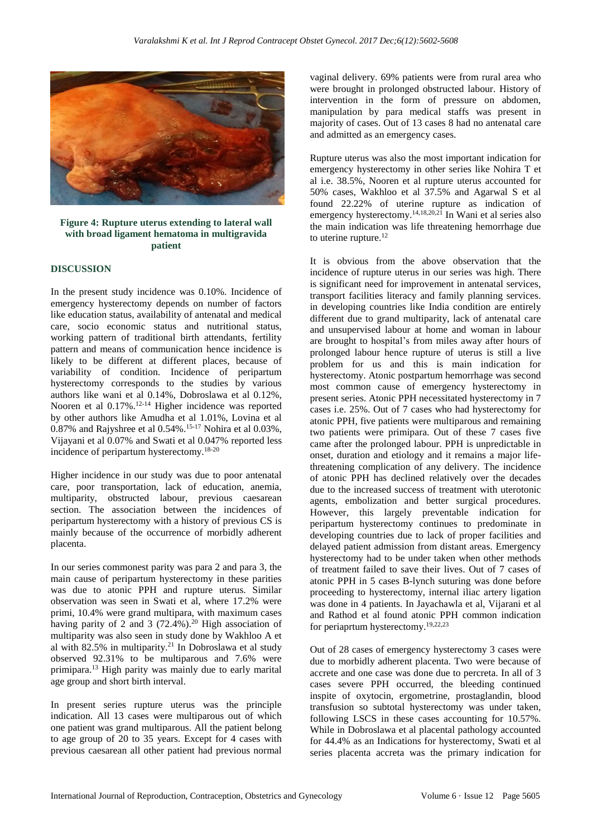

# **Figure 4: Rupture uterus extending to lateral wall with broad ligament hematoma in multigravida patient**

# **DISCUSSION**

In the present study incidence was 0.10%. Incidence of emergency hysterectomy depends on number of factors like education status, availability of antenatal and medical care, socio economic status and nutritional status, working pattern of traditional birth attendants, fertility pattern and means of communication hence incidence is likely to be different at different places, because of variability of condition. Incidence of peripartum hysterectomy corresponds to the studies by various authors like wani et al 0.14%, Dobroslawa et al 0.12%, Nooren et al 0.17%. 12-14 Higher incidence was reported by other authors like Amudha et al 1.01%, Lovina et al 0.87% and Rajyshree et al 0.54%.15-17 Nohira et al 0.03%, Vijayani et al 0.07% and Swati et al 0.047% reported less incidence of peripartum hysterectomy.18-20

Higher incidence in our study was due to poor antenatal care, poor transportation, lack of education, anemia, multiparity, obstructed labour, previous caesarean section. The association between the incidences of peripartum hysterectomy with a history of previous CS is mainly because of the occurrence of morbidly adherent placenta.

In our series commonest parity was para 2 and para 3, the main cause of peripartum hysterectomy in these parities was due to atonic PPH and rupture uterus. Similar observation was seen in Swati et al, where 17.2% were primi, 10.4% were grand multipara, with maximum cases having parity of 2 and 3  $(72.4\%)$ .<sup>20</sup> High association of multiparity was also seen in study done by Wakhloo A et al with 82.5% in multiparity.<sup>21</sup> In Dobroslawa et al study observed 92.31% to be multiparous and 7.6% were primipara.<sup>13</sup> High parity was mainly due to early marital age group and short birth interval.

In present series rupture uterus was the principle indication. All 13 cases were multiparous out of which one patient was grand multiparous. All the patient belong to age group of 20 to 35 years. Except for 4 cases with previous caesarean all other patient had previous normal vaginal delivery. 69% patients were from rural area who were brought in prolonged obstructed labour. History of intervention in the form of pressure on abdomen, manipulation by para medical staffs was present in majority of cases. Out of 13 cases 8 had no antenatal care and admitted as an emergency cases.

Rupture uterus was also the most important indication for emergency hysterectomy in other series like Nohira T et al i.e. 38.5%, Nooren et al rupture uterus accounted for 50% cases, Wakhloo et al 37.5% and Agarwal S et al found 22.22% of uterine rupture as indication of emergency hysterectomy.<sup>14,18,20,21</sup> In Wani et al series also the main indication was life threatening hemorrhage due to uterine rupture.<sup>12</sup>

It is obvious from the above observation that the incidence of rupture uterus in our series was high. There is significant need for improvement in antenatal services, transport facilities literacy and family planning services. in developing countries like India condition are entirely different due to grand multiparity, lack of antenatal care and unsupervised labour at home and woman in labour are brought to hospital's from miles away after hours of prolonged labour hence rupture of uterus is still a live problem for us and this is main indication for hysterectomy. Atonic postpartum hemorrhage was second most common cause of emergency hysterectomy in present series. Atonic PPH necessitated hysterectomy in 7 cases i.e. 25%. Out of 7 cases who had hysterectomy for atonic PPH, five patients were multiparous and remaining two patients were primipara. Out of these 7 cases five came after the prolonged labour. PPH is unpredictable in onset, duration and etiology and it remains a major lifethreatening complication of any delivery. The incidence of atonic PPH has declined relatively over the decades due to the increased success of treatment with uterotonic agents, embolization and better surgical procedures. However, this largely preventable indication for peripartum hysterectomy continues to predominate in developing countries due to lack of proper facilities and delayed patient admission from distant areas. Emergency hysterectomy had to be under taken when other methods of treatment failed to save their lives. Out of 7 cases of atonic PPH in 5 cases B-lynch suturing was done before proceeding to hysterectomy, internal iliac artery ligation was done in 4 patients. In Jayachawla et al, Vijarani et al and Rathod et al found atonic PPH common indication for periaprtum hysterectomy.19,22,23

Out of 28 cases of emergency hysterectomy 3 cases were due to morbidly adherent placenta. Two were because of accrete and one case was done due to percreta. In all of 3 cases severe PPH occurred, the bleeding continued inspite of oxytocin, ergometrine, prostaglandin, blood transfusion so subtotal hysterectomy was under taken, following LSCS in these cases accounting for 10.57%. While in Dobroslawa et al placental pathology accounted for 44.4% as an Indications for hysterectomy, Swati et al series placenta accreta was the primary indication for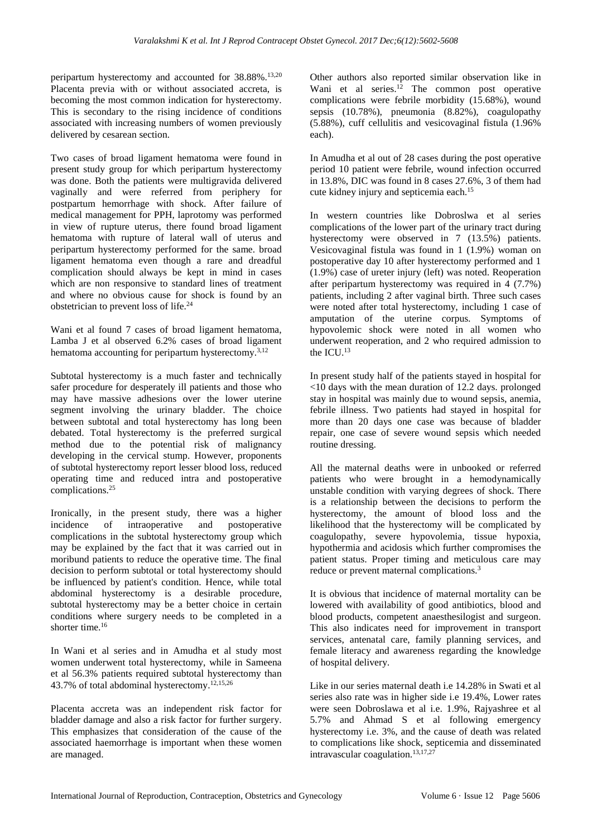peripartum hysterectomy and accounted for 38.88%.<sup>13,20</sup> Placenta previa with or without associated accreta, is becoming the most common indication for hysterectomy. This is secondary to the rising incidence of conditions associated with increasing numbers of women previously delivered by cesarean section.

Two cases of broad ligament hematoma were found in present study group for which peripartum hysterectomy was done. Both the patients were multigravida delivered vaginally and were referred from periphery for postpartum hemorrhage with shock. After failure of medical management for PPH, laprotomy was performed in view of rupture uterus, there found broad ligament hematoma with rupture of lateral wall of uterus and peripartum hysterectomy performed for the same. broad ligament hematoma even though a rare and dreadful complication should always be kept in mind in cases which are non responsive to standard lines of treatment and where no obvious cause for shock is found by an obstetrician to prevent loss of life.<sup>24</sup>

Wani et al found 7 cases of broad ligament hematoma, Lamba J et al observed 6.2% cases of broad ligament hematoma accounting for peripartum hysterectomy.<sup>3,12</sup>

Subtotal hysterectomy is a much faster and technically safer procedure for desperately ill patients and those who may have massive adhesions over the lower uterine segment involving the urinary bladder. The choice between subtotal and total hysterectomy has long been debated. Total hysterectomy is the preferred surgical method due to the potential risk of malignancy developing in the cervical stump. However, proponents of subtotal hysterectomy report lesser blood loss, reduced operating time and reduced intra and postoperative complications.<sup>25</sup>

Ironically, in the present study, there was a higher incidence of intraoperative and postoperative complications in the subtotal hysterectomy group which may be explained by the fact that it was carried out in moribund patients to reduce the operative time. The final decision to perform subtotal or total hysterectomy should be influenced by patient's condition. Hence, while total abdominal hysterectomy is a desirable procedure, subtotal hysterectomy may be a better choice in certain conditions where surgery needs to be completed in a shorter time.<sup>16</sup>

In Wani et al series and in Amudha et al study most women underwent total hysterectomy, while in Sameena et al 56.3% patients required subtotal hysterectomy than 43.7% of total abdominal hysterectomy. 12,15,26

Placenta accreta was an independent risk factor for bladder damage and also a risk factor for further surgery. This emphasizes that consideration of the cause of the associated haemorrhage is important when these women are managed.

Other authors also reported similar observation like in Wani et al series. <sup>12</sup> The common post operative complications were febrile morbidity (15.68%), wound sepsis (10.78%), pneumonia (8.82%), coagulopathy (5.88%), cuff cellulitis and vesicovaginal fistula (1.96% each).

In Amudha et al out of 28 cases during the post operative period 10 patient were febrile, wound infection occurred in 13.8%, DIC was found in 8 cases 27.6%, 3 of them had cute kidney injury and septicemia each.<sup>15</sup>

In western countries like Dobroslwa et al series complications of the lower part of the urinary tract during hysterectomy were observed in 7 (13.5%) patients. Vesicovaginal fistula was found in 1 (1.9%) woman on postoperative day 10 after hysterectomy performed and 1 (1.9%) case of ureter injury (left) was noted. Reoperation after peripartum hysterectomy was required in 4 (7.7%) patients, including 2 after vaginal birth. Three such cases were noted after total hysterectomy, including 1 case of amputation of the uterine corpus. Symptoms of hypovolemic shock were noted in all women who underwent reoperation, and 2 who required admission to the ICU.<sup>13</sup>

In present study half of the patients stayed in hospital for <10 days with the mean duration of 12.2 days. prolonged stay in hospital was mainly due to wound sepsis, anemia, febrile illness. Two patients had stayed in hospital for more than 20 days one case was because of bladder repair, one case of severe wound sepsis which needed routine dressing.

All the maternal deaths were in unbooked or referred patients who were brought in a hemodynamically unstable condition with varying degrees of shock. There is a relationship between the decisions to perform the hysterectomy, the amount of blood loss and the likelihood that the hysterectomy will be complicated by coagulopathy, severe hypovolemia, tissue hypoxia, hypothermia and acidosis which further compromises the patient status. Proper timing and meticulous care may reduce or prevent maternal complications.<sup>3</sup>

It is obvious that incidence of maternal mortality can be lowered with availability of good antibiotics, blood and blood products, competent anaesthesilogist and surgeon. This also indicates need for improvement in transport services, antenatal care, family planning services, and female literacy and awareness regarding the knowledge of hospital delivery.

Like in our series maternal death i.e 14.28% in Swati et al series also rate was in higher side i.e 19.4%, Lower rates were seen Dobroslawa et al i.e. 1.9%, Rajyashree et al 5.7% and Ahmad S et al following emergency hysterectomy i.e. 3%, and the cause of death was related to complications like shock, septicemia and disseminated intravascular coagulation. 13,17,27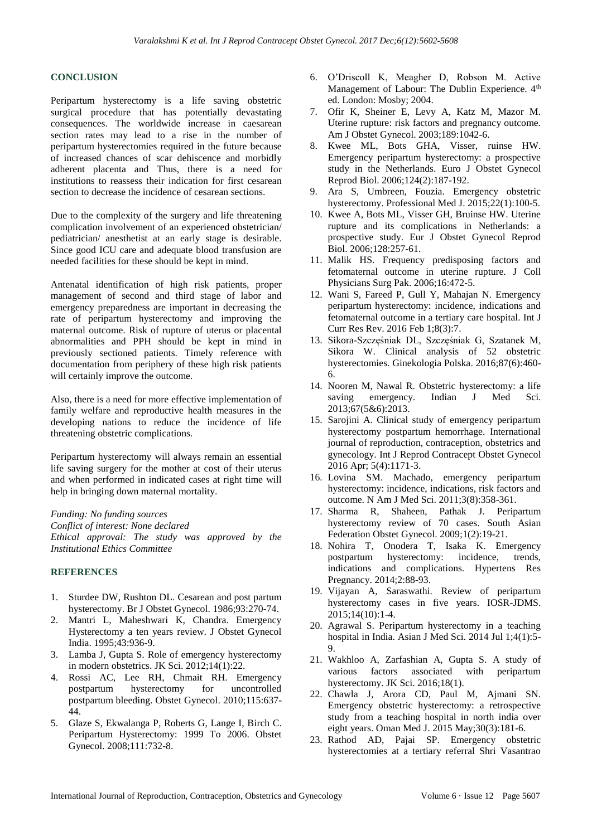# **CONCLUSION**

Peripartum hysterectomy is a life saving obstetric surgical procedure that has potentially devastating consequences. The worldwide increase in caesarean section rates may lead to a rise in the number of peripartum hysterectomies required in the future because of increased chances of scar dehiscence and morbidly adherent placenta and Thus, there is a need for institutions to reassess their indication for first cesarean section to decrease the incidence of cesarean sections.

Due to the complexity of the surgery and life threatening complication involvement of an experienced obstetrician/ pediatrician/ anesthetist at an early stage is desirable. Since good ICU care and adequate blood transfusion are needed facilities for these should be kept in mind.

Antenatal identification of high risk patients, proper management of second and third stage of labor and emergency preparedness are important in decreasing the rate of peripartum hysterectomy and improving the maternal outcome. Risk of rupture of uterus or placental abnormalities and PPH should be kept in mind in previously sectioned patients. Timely reference with documentation from periphery of these high risk patients will certainly improve the outcome.

Also, there is a need for more effective implementation of family welfare and reproductive health measures in the developing nations to reduce the incidence of life threatening obstetric complications.

Peripartum hysterectomy will always remain an essential life saving surgery for the mother at cost of their uterus and when performed in indicated cases at right time will help in bringing down maternal mortality.

*Funding: No funding sources*

*Conflict of interest: None declared Ethical approval: The study was approved by the Institutional Ethics Committee*

# **REFERENCES**

- 1. Sturdee DW, Rushton DL. Cesarean and post partum hysterectomy. Br J Obstet Gynecol. 1986;93:270-74.
- 2. Mantri L, Maheshwari K, Chandra. Emergency Hysterectomy a ten years review. J Obstet Gynecol India. 1995;43:936-9.
- 3. Lamba J, Gupta S. Role of emergency hysterectomy in modern obstetrics. JK Sci. 2012;14(1):22.
- 4. Rossi AC, Lee RH, Chmait RH. Emergency postpartum hysterectomy for uncontrolled postpartum bleeding. Obstet Gynecol. 2010;115:637- 44.
- 5. Glaze S, Ekwalanga P, Roberts G, Lange I, Birch C. Peripartum Hysterectomy: 1999 To 2006. Obstet Gynecol. 2008;111:732-8.
- 6. O'Driscoll K, Meagher D, Robson M. Active Management of Labour: The Dublin Experience. 4<sup>th</sup> ed. London: Mosby; 2004.
- 7. Ofir K, Sheiner E, Levy A, Katz M, Mazor M. Uterine rupture: risk factors and pregnancy outcome. Am J Obstet Gynecol. 2003;189:1042-6.
- 8. Kwee ML, Bots GHA, Visser, ruinse HW. Emergency peripartum hysterectomy: a prospective study in the Netherlands. Euro J Obstet Gynecol Reprod Biol. 2006;124(2):187-192.
- 9. Ara S, Umbreen, Fouzia. Emergency obstetric hysterectomy. Professional Med J. 2015;22(1):100-5.
- 10. Kwee A, Bots ML, Visser GH, Bruinse HW. Uterine rupture and its complications in Netherlands: a prospective study. Eur J Obstet Gynecol Reprod Biol. 2006;128:257-61.
- 11. Malik HS. Frequency predisposing factors and fetomaternal outcome in uterine rupture. J Coll Physicians Surg Pak. 2006;16:472-5.
- 12. Wani S, Fareed P, Gull Y, Mahajan N. Emergency peripartum hysterectomy: incidence, indications and fetomaternal outcome in a tertiary care hospital. Int J Curr Res Rev. 2016 Feb 1;8(3):7.
- 13. Sikora-Szczęśniak DL, Szczęśniak G, Szatanek M, Sikora W. Clinical analysis of 52 obstetric hysterectomies. Ginekologia Polska. 2016;87(6):460- 6.
- 14. Nooren M, Nawal R. Obstetric hysterectomy: a life saving emergency. Indian J Med Sci. 2013;67(5&6):2013.
- 15. Sarojini A. Clinical study of emergency peripartum hysterectomy postpartum hemorrhage. International journal of reproduction, contraception, obstetrics and gynecology. Int J Reprod Contracept Obstet Gynecol 2016 Apr; 5(4):1171-3.
- 16. Lovina SM. Machado, emergency peripartum hysterectomy: incidence, indications, risk factors and outcome. N Am J Med Sci. 2011;3(8):358-361.
- 17. Sharma R, Shaheen, Pathak J. Peripartum hysterectomy review of 70 cases. South Asian Federation Obstet Gynecol. 2009;1(2):19-21.
- 18. Nohira T, Onodera T, Isaka K. Emergency postpartum hysterectomy: incidence, trends, indications and complications. Hypertens Res Pregnancy. 2014;2:88-93.
- 19. Vijayan A, Saraswathi. Review of peripartum hysterectomy cases in five years. IOSR-JDMS. 2015;14(10):1-4.
- 20. Agrawal S. Peripartum hysterectomy in a teaching hospital in India. Asian J Med Sci. 2014 Jul 1;4(1):5- 9.
- 21. Wakhloo A, Zarfashian A, Gupta S. A study of various factors associated with peripartum hysterectomy. JK Sci. 2016;18(1).
- 22. Chawla J, Arora CD, Paul M, Ajmani SN. Emergency obstetric hysterectomy: a retrospective study from a teaching hospital in north india over eight years. Oman Med J. 2015 May;30(3):181-6.
- 23. Rathod AD, Pajai SP. Emergency obstetric hysterectomies at a tertiary referral Shri Vasantrao